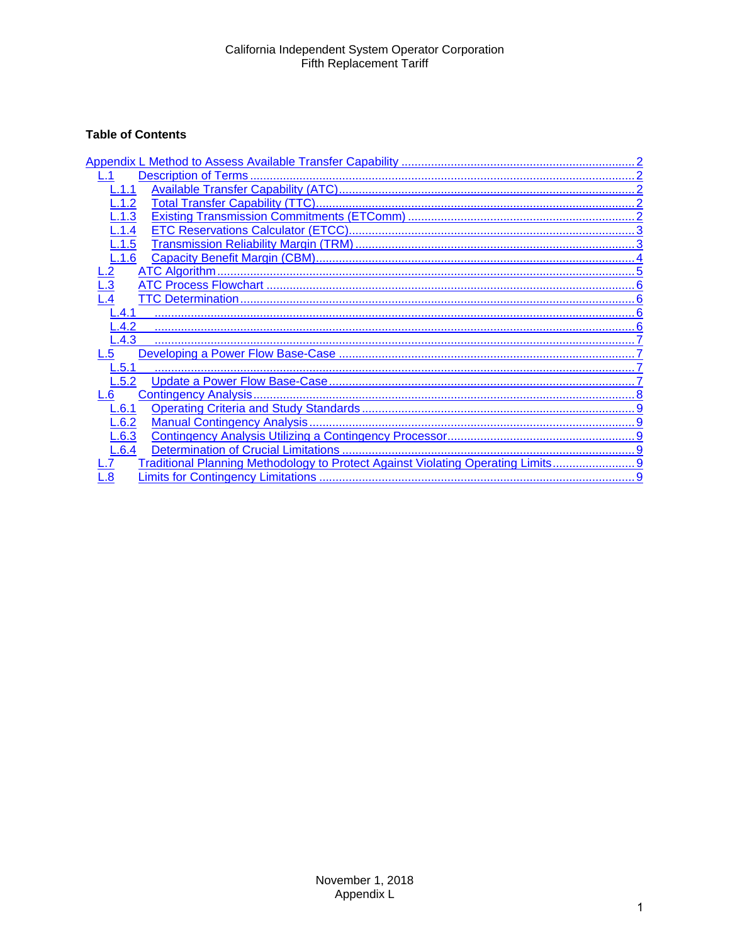# **Table of Contents**

| 1.1                                                                              |
|----------------------------------------------------------------------------------|
| .1.2                                                                             |
| $-.1.3$                                                                          |
| .1.4                                                                             |
| L.1.5                                                                            |
| L.1.6                                                                            |
|                                                                                  |
| $\overline{3}$                                                                   |
|                                                                                  |
| 4.1                                                                              |
| $-.4.2$                                                                          |
| $-.4.3$                                                                          |
| .5                                                                               |
| 5.1                                                                              |
| .5.2                                                                             |
| .6                                                                               |
| <u>6.1</u>                                                                       |
| L.6.2                                                                            |
| L.6.3                                                                            |
| L.6.4                                                                            |
| Traditional Planning Methodology to Protect Against Violating Operating Limits 9 |
| $\overline{\mathbf{8}}$                                                          |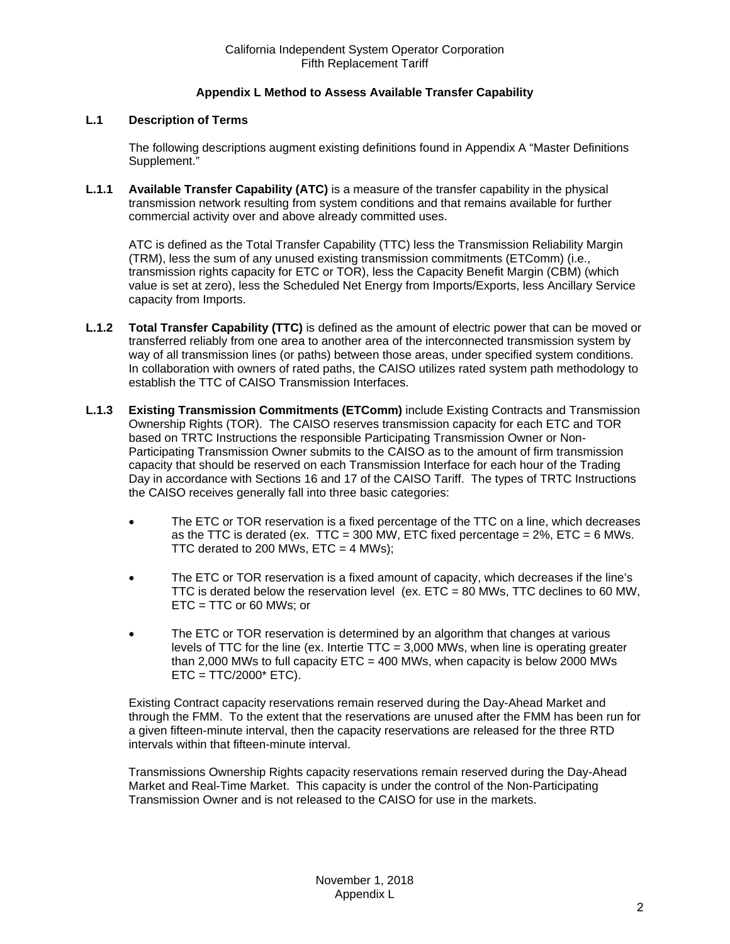## **Appendix L Method to Assess Available Transfer Capability**

## <span id="page-1-1"></span><span id="page-1-0"></span>**L.1 Description of Terms**

The following descriptions augment existing definitions found in Appendix A "Master Definitions Supplement."

<span id="page-1-2"></span>**L.1.1 Available Transfer Capability (ATC)** is a measure of the transfer capability in the physical transmission network resulting from system conditions and that remains available for further commercial activity over and above already committed uses.

ATC is defined as the Total Transfer Capability (TTC) less the Transmission Reliability Margin (TRM), less the sum of any unused existing transmission commitments (ETComm) (i.e., transmission rights capacity for ETC or TOR), less the Capacity Benefit Margin (CBM) (which value is set at zero), less the Scheduled Net Energy from Imports/Exports, less Ancillary Service capacity from Imports.

- <span id="page-1-3"></span>**L.1.2 Total Transfer Capability (TTC)** is defined as the amount of electric power that can be moved or transferred reliably from one area to another area of the interconnected transmission system by way of all transmission lines (or paths) between those areas, under specified system conditions. In collaboration with owners of rated paths, the CAISO utilizes rated system path methodology to establish the TTC of CAISO Transmission Interfaces.
- <span id="page-1-4"></span>**L.1.3 Existing Transmission Commitments (ETComm)** include Existing Contracts and Transmission Ownership Rights (TOR). The CAISO reserves transmission capacity for each ETC and TOR based on TRTC Instructions the responsible Participating Transmission Owner or Non-Participating Transmission Owner submits to the CAISO as to the amount of firm transmission capacity that should be reserved on each Transmission Interface for each hour of the Trading Day in accordance with Sections 16 and 17 of the CAISO Tariff. The types of TRTC Instructions the CAISO receives generally fall into three basic categories:
	- The ETC or TOR reservation is a fixed percentage of the TTC on a line, which decreases as the TTC is derated (ex. TTC = 300 MW, ETC fixed percentage =  $2\%$ , ETC = 6 MWs. TTC derated to 200 MWs,  $ETC = 4$  MWs);
	- The ETC or TOR reservation is a fixed amount of capacity, which decreases if the line's TTC is derated below the reservation level (ex.  $ETC = 80$  MWs, TTC declines to 60 MW, ETC = TTC or 60 MWs; or
	- The ETC or TOR reservation is determined by an algorithm that changes at various levels of TTC for the line (ex. Intertie TTC = 3,000 MWs, when line is operating greater than 2,000 MWs to full capacity  $ETC = 400$  MWs, when capacity is below 2000 MWs  $ETC = TTC/2000* ETC$ ).

Existing Contract capacity reservations remain reserved during the Day-Ahead Market and through the FMM. To the extent that the reservations are unused after the FMM has been run for a given fifteen-minute interval, then the capacity reservations are released for the three RTD intervals within that fifteen-minute interval.

Transmissions Ownership Rights capacity reservations remain reserved during the Day-Ahead Market and Real-Time Market. This capacity is under the control of the Non-Participating Transmission Owner and is not released to the CAISO for use in the markets.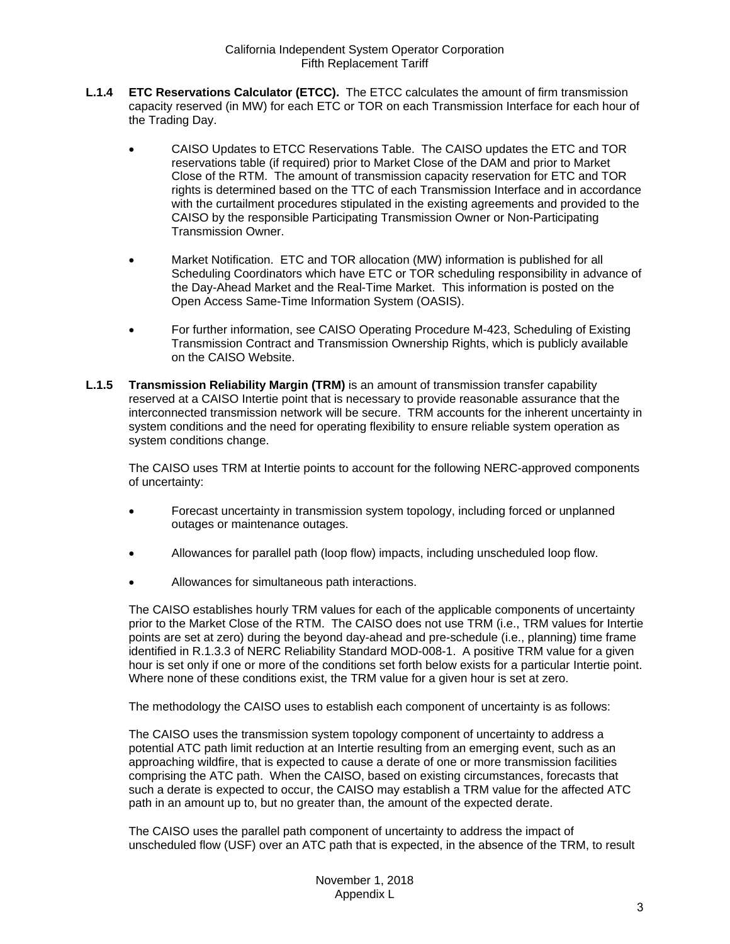- <span id="page-2-0"></span>**L.1.4 ETC Reservations Calculator (ETCC).** The ETCC calculates the amount of firm transmission capacity reserved (in MW) for each ETC or TOR on each Transmission Interface for each hour of the Trading Day.
	- CAISO Updates to ETCC Reservations Table. The CAISO updates the ETC and TOR reservations table (if required) prior to Market Close of the DAM and prior to Market Close of the RTM. The amount of transmission capacity reservation for ETC and TOR rights is determined based on the TTC of each Transmission Interface and in accordance with the curtailment procedures stipulated in the existing agreements and provided to the CAISO by the responsible Participating Transmission Owner or Non-Participating Transmission Owner.
	- Market Notification. ETC and TOR allocation (MW) information is published for all Scheduling Coordinators which have ETC or TOR scheduling responsibility in advance of the Day-Ahead Market and the Real-Time Market. This information is posted on the Open Access Same-Time Information System (OASIS).
	- For further information, see CAISO Operating Procedure M-423, Scheduling of Existing Transmission Contract and Transmission Ownership Rights, which is publicly available on the CAISO Website.
- <span id="page-2-1"></span>**L.1.5 Transmission Reliability Margin (TRM)** is an amount of transmission transfer capability reserved at a CAISO Intertie point that is necessary to provide reasonable assurance that the interconnected transmission network will be secure. TRM accounts for the inherent uncertainty in system conditions and the need for operating flexibility to ensure reliable system operation as system conditions change.

The CAISO uses TRM at Intertie points to account for the following NERC-approved components of uncertainty:

- Forecast uncertainty in transmission system topology, including forced or unplanned outages or maintenance outages.
- Allowances for parallel path (loop flow) impacts, including unscheduled loop flow.
- Allowances for simultaneous path interactions.

The CAISO establishes hourly TRM values for each of the applicable components of uncertainty prior to the Market Close of the RTM. The CAISO does not use TRM (i.e., TRM values for Intertie points are set at zero) during the beyond day-ahead and pre-schedule (i.e., planning) time frame identified in R.1.3.3 of NERC Reliability Standard MOD-008-1. A positive TRM value for a given hour is set only if one or more of the conditions set forth below exists for a particular Intertie point. Where none of these conditions exist, the TRM value for a given hour is set at zero.

The methodology the CAISO uses to establish each component of uncertainty is as follows:

The CAISO uses the transmission system topology component of uncertainty to address a potential ATC path limit reduction at an Intertie resulting from an emerging event, such as an approaching wildfire, that is expected to cause a derate of one or more transmission facilities comprising the ATC path. When the CAISO, based on existing circumstances, forecasts that such a derate is expected to occur, the CAISO may establish a TRM value for the affected ATC path in an amount up to, but no greater than, the amount of the expected derate.

The CAISO uses the parallel path component of uncertainty to address the impact of unscheduled flow (USF) over an ATC path that is expected, in the absence of the TRM, to result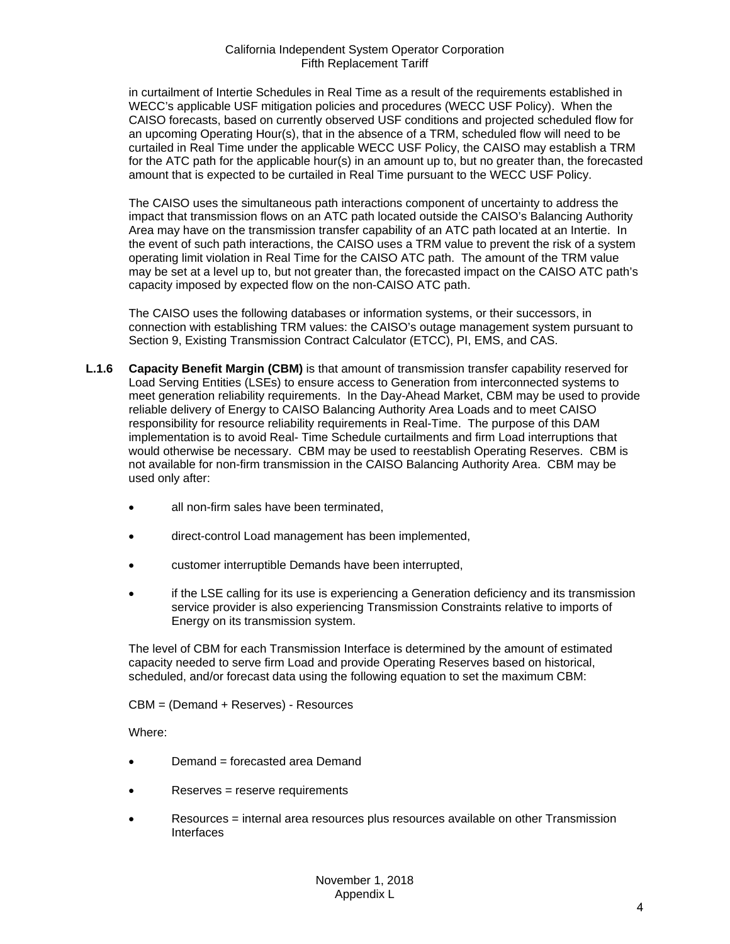in curtailment of Intertie Schedules in Real Time as a result of the requirements established in WECC's applicable USF mitigation policies and procedures (WECC USF Policy). When the CAISO forecasts, based on currently observed USF conditions and projected scheduled flow for an upcoming Operating Hour(s), that in the absence of a TRM, scheduled flow will need to be curtailed in Real Time under the applicable WECC USF Policy, the CAISO may establish a TRM for the ATC path for the applicable hour(s) in an amount up to, but no greater than, the forecasted amount that is expected to be curtailed in Real Time pursuant to the WECC USF Policy.

The CAISO uses the simultaneous path interactions component of uncertainty to address the impact that transmission flows on an ATC path located outside the CAISO's Balancing Authority Area may have on the transmission transfer capability of an ATC path located at an Intertie. In the event of such path interactions, the CAISO uses a TRM value to prevent the risk of a system operating limit violation in Real Time for the CAISO ATC path. The amount of the TRM value may be set at a level up to, but not greater than, the forecasted impact on the CAISO ATC path's capacity imposed by expected flow on the non-CAISO ATC path.

The CAISO uses the following databases or information systems, or their successors, in connection with establishing TRM values: the CAISO's outage management system pursuant to Section 9, Existing Transmission Contract Calculator (ETCC), PI, EMS, and CAS.

- <span id="page-3-0"></span>**L.1.6 Capacity Benefit Margin (CBM)** is that amount of transmission transfer capability reserved for Load Serving Entities (LSEs) to ensure access to Generation from interconnected systems to meet generation reliability requirements. In the Day-Ahead Market, CBM may be used to provide reliable delivery of Energy to CAISO Balancing Authority Area Loads and to meet CAISO responsibility for resource reliability requirements in Real-Time. The purpose of this DAM implementation is to avoid Real- Time Schedule curtailments and firm Load interruptions that would otherwise be necessary. CBM may be used to reestablish Operating Reserves. CBM is not available for non-firm transmission in the CAISO Balancing Authority Area. CBM may be used only after:
	- all non-firm sales have been terminated.
	- direct-control Load management has been implemented,
	- customer interruptible Demands have been interrupted,
	- if the LSE calling for its use is experiencing a Generation deficiency and its transmission service provider is also experiencing Transmission Constraints relative to imports of Energy on its transmission system.

The level of CBM for each Transmission Interface is determined by the amount of estimated capacity needed to serve firm Load and provide Operating Reserves based on historical, scheduled, and/or forecast data using the following equation to set the maximum CBM:

CBM = (Demand + Reserves) - Resources

Where:

- Demand = forecasted area Demand
- Reserves = reserve requirements
- Resources = internal area resources plus resources available on other Transmission Interfaces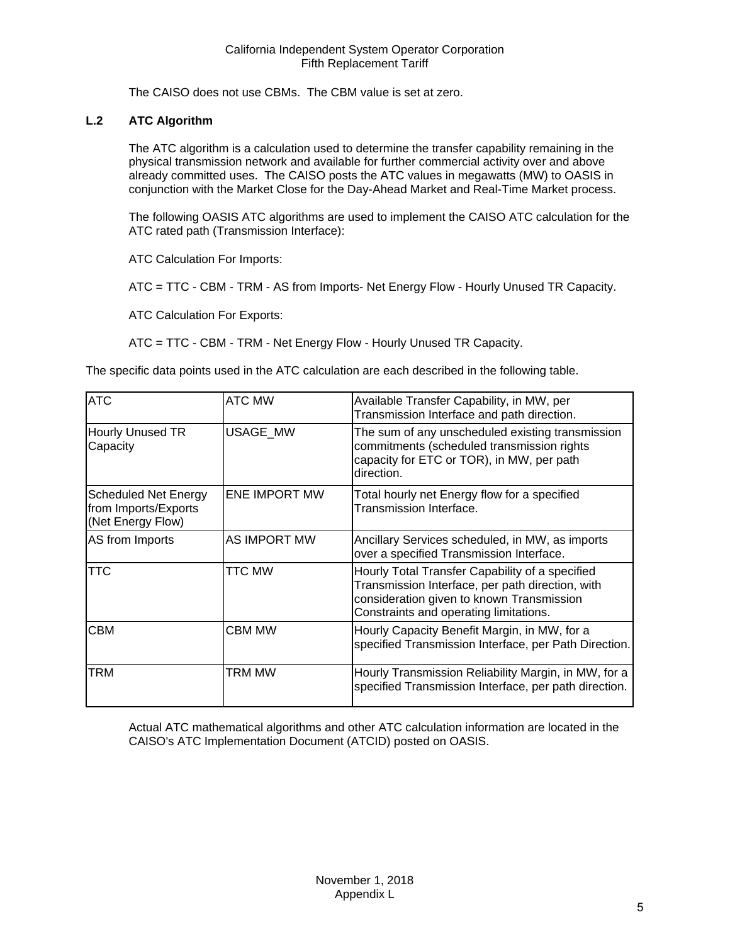The CAISO does not use CBMs. The CBM value is set at zero.

## <span id="page-4-0"></span>**L.2 ATC Algorithm**

The ATC algorithm is a calculation used to determine the transfer capability remaining in the physical transmission network and available for further commercial activity over and above already committed uses. The CAISO posts the ATC values in megawatts (MW) to OASIS in conjunction with the Market Close for the Day-Ahead Market and Real-Time Market process.

The following OASIS ATC algorithms are used to implement the CAISO ATC calculation for the ATC rated path (Transmission Interface):

ATC Calculation For Imports:

ATC = TTC - CBM - TRM - AS from Imports- Net Energy Flow - Hourly Unused TR Capacity.

ATC Calculation For Exports:

ATC = TTC - CBM - TRM - Net Energy Flow - Hourly Unused TR Capacity.

The specific data points used in the ATC calculation are each described in the following table.

| <b>ATC</b>                                                               | <b>ATC MW</b>        | Available Transfer Capability, in MW, per<br>Transmission Interface and path direction.                                                                                                    |
|--------------------------------------------------------------------------|----------------------|--------------------------------------------------------------------------------------------------------------------------------------------------------------------------------------------|
| <b>Hourly Unused TR</b><br>Capacity                                      | <b>USAGE MW</b>      | The sum of any unscheduled existing transmission<br>commitments (scheduled transmission rights<br>capacity for ETC or TOR), in MW, per path<br>direction.                                  |
| <b>Scheduled Net Energy</b><br>from Imports/Exports<br>(Net Energy Flow) | <b>ENE IMPORT MW</b> | Total hourly net Energy flow for a specified<br>Transmission Interface.                                                                                                                    |
| AS from Imports                                                          | AS IMPORT MW         | Ancillary Services scheduled, in MW, as imports<br>over a specified Transmission Interface.                                                                                                |
| TTC                                                                      | TTC MW               | Hourly Total Transfer Capability of a specified<br>Transmission Interface, per path direction, with<br>consideration given to known Transmission<br>Constraints and operating limitations. |
| CBM                                                                      | <b>CBM MW</b>        | Hourly Capacity Benefit Margin, in MW, for a<br>specified Transmission Interface, per Path Direction.                                                                                      |
| TRM                                                                      | TRM MW               | Hourly Transmission Reliability Margin, in MW, for a<br>specified Transmission Interface, per path direction.                                                                              |

Actual ATC mathematical algorithms and other ATC calculation information are located in the CAISO's ATC Implementation Document (ATCID) posted on OASIS.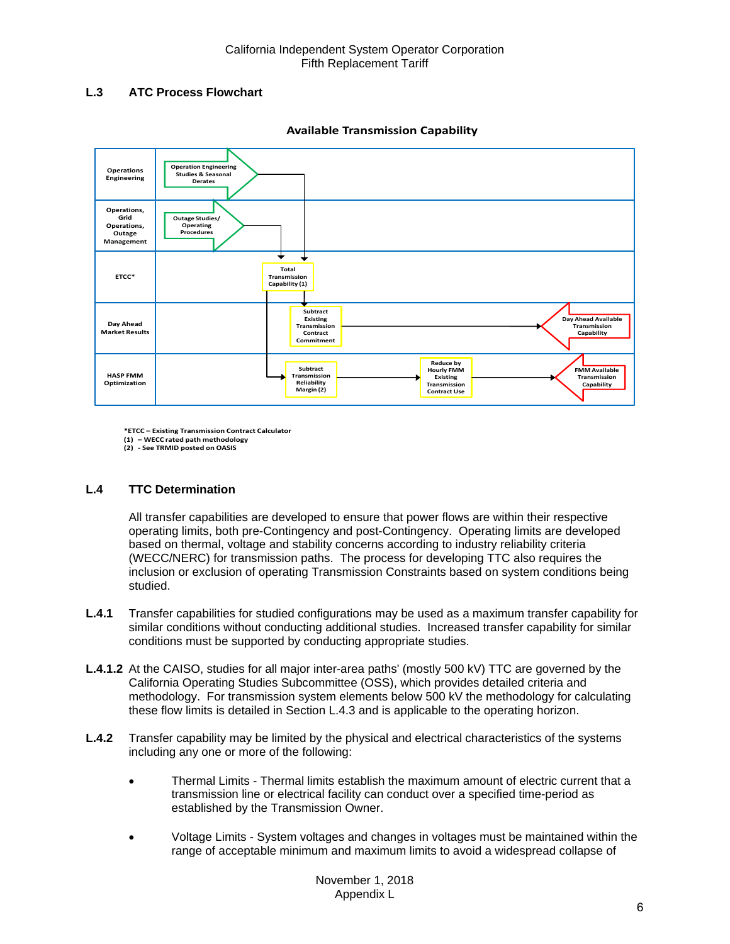## <span id="page-5-0"></span>**L.3 ATC Process Flowchart**



**Available Transmission Capability**

**\*ETCC – Existing Transmission Contract Calculator (1) – WECC rated path methodology**

**(2) - See TRMID posted on OASIS**

## <span id="page-5-1"></span>**L.4 TTC Determination**

All transfer capabilities are developed to ensure that power flows are within their respective operating limits, both pre-Contingency and post-Contingency. Operating limits are developed based on thermal, voltage and stability concerns according to industry reliability criteria (WECC/NERC) for transmission paths. The process for developing TTC also requires the inclusion or exclusion of operating Transmission Constraints based on system conditions being studied.

- <span id="page-5-2"></span>**L.4.1** Transfer capabilities for studied configurations may be used as a maximum transfer capability for similar conditions without conducting additional studies. Increased transfer capability for similar conditions must be supported by conducting appropriate studies.
- **L.4.1.2** At the CAISO, studies for all major inter-area paths' (mostly 500 kV) TTC are governed by the California Operating Studies Subcommittee (OSS), which provides detailed criteria and methodology. For transmission system elements below 500 kV the methodology for calculating these flow limits is detailed in Section L.4.3 and is applicable to the operating horizon.
- <span id="page-5-3"></span>**L.4.2** Transfer capability may be limited by the physical and electrical characteristics of the systems including any one or more of the following:
	- Thermal Limits Thermal limits establish the maximum amount of electric current that a transmission line or electrical facility can conduct over a specified time-period as established by the Transmission Owner.
	- Voltage Limits System voltages and changes in voltages must be maintained within the range of acceptable minimum and maximum limits to avoid a widespread collapse of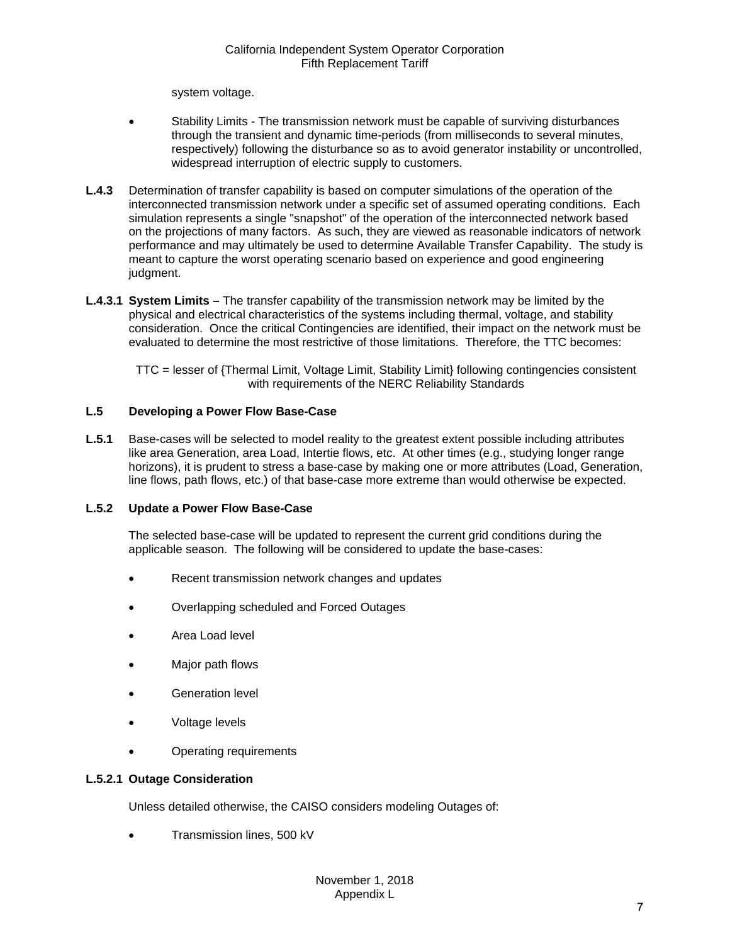system voltage.

- Stability Limits The transmission network must be capable of surviving disturbances through the transient and dynamic time-periods (from milliseconds to several minutes, respectively) following the disturbance so as to avoid generator instability or uncontrolled, widespread interruption of electric supply to customers.
- <span id="page-6-0"></span>**L.4.3** Determination of transfer capability is based on computer simulations of the operation of the interconnected transmission network under a specific set of assumed operating conditions. Each simulation represents a single "snapshot" of the operation of the interconnected network based on the projections of many factors. As such, they are viewed as reasonable indicators of network performance and may ultimately be used to determine Available Transfer Capability. The study is meant to capture the worst operating scenario based on experience and good engineering judgment.
- **L.4.3.1 System Limits** The transfer capability of the transmission network may be limited by the physical and electrical characteristics of the systems including thermal, voltage, and stability consideration. Once the critical Contingencies are identified, their impact on the network must be evaluated to determine the most restrictive of those limitations. Therefore, the TTC becomes:

TTC = lesser of {Thermal Limit, Voltage Limit, Stability Limit} following contingencies consistent with requirements of the NERC Reliability Standards

## <span id="page-6-1"></span>**L.5 Developing a Power Flow Base-Case**

<span id="page-6-2"></span>**L.5.1** Base-cases will be selected to model reality to the greatest extent possible including attributes like area Generation, area Load, Intertie flows, etc. At other times (e.g., studying longer range horizons), it is prudent to stress a base-case by making one or more attributes (Load, Generation, line flows, path flows, etc.) of that base-case more extreme than would otherwise be expected.

## <span id="page-6-3"></span>**L.5.2 Update a Power Flow Base-Case**

The selected base-case will be updated to represent the current grid conditions during the applicable season. The following will be considered to update the base-cases:

- Recent transmission network changes and updates
- Overlapping scheduled and Forced Outages
- Area Load level
- Major path flows
- Generation level
- Voltage levels
- Operating requirements

## **L.5.2.1 Outage Consideration**

Unless detailed otherwise, the CAISO considers modeling Outages of:

• Transmission lines, 500 kV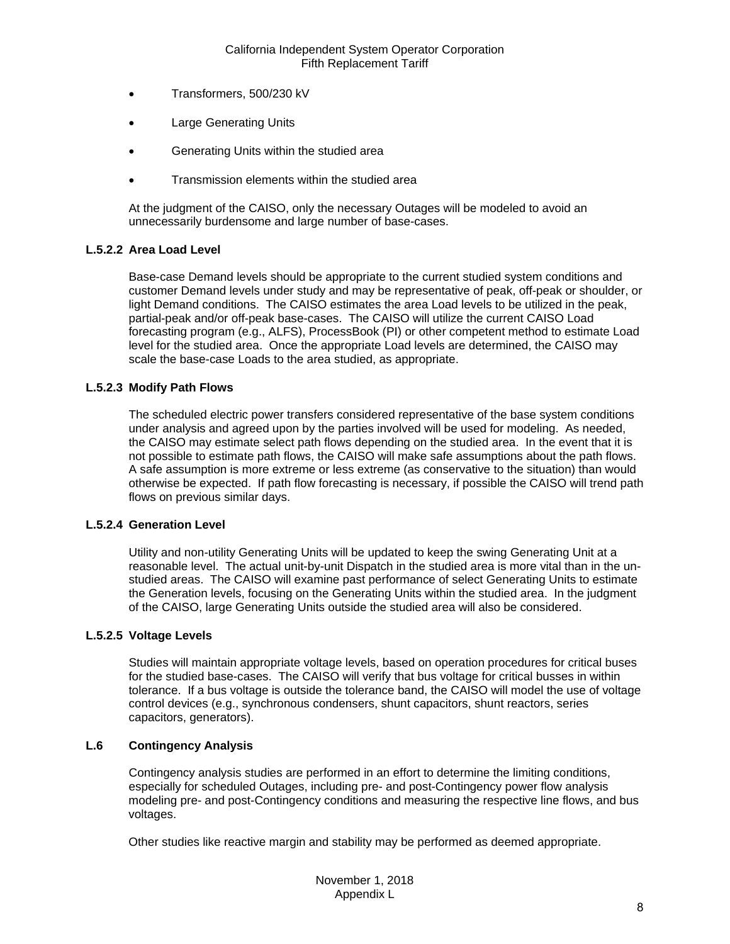- Transformers, 500/230 kV
- **Large Generating Units**
- Generating Units within the studied area
- Transmission elements within the studied area

At the judgment of the CAISO, only the necessary Outages will be modeled to avoid an unnecessarily burdensome and large number of base-cases.

#### **L.5.2.2 Area Load Level**

Base-case Demand levels should be appropriate to the current studied system conditions and customer Demand levels under study and may be representative of peak, off-peak or shoulder, or light Demand conditions. The CAISO estimates the area Load levels to be utilized in the peak, partial-peak and/or off-peak base-cases. The CAISO will utilize the current CAISO Load forecasting program (e.g., ALFS), ProcessBook (PI) or other competent method to estimate Load level for the studied area. Once the appropriate Load levels are determined, the CAISO may scale the base-case Loads to the area studied, as appropriate.

#### **L.5.2.3 Modify Path Flows**

The scheduled electric power transfers considered representative of the base system conditions under analysis and agreed upon by the parties involved will be used for modeling. As needed, the CAISO may estimate select path flows depending on the studied area. In the event that it is not possible to estimate path flows, the CAISO will make safe assumptions about the path flows. A safe assumption is more extreme or less extreme (as conservative to the situation) than would otherwise be expected. If path flow forecasting is necessary, if possible the CAISO will trend path flows on previous similar days.

#### **L.5.2.4 Generation Level**

Utility and non-utility Generating Units will be updated to keep the swing Generating Unit at a reasonable level. The actual unit-by-unit Dispatch in the studied area is more vital than in the unstudied areas. The CAISO will examine past performance of select Generating Units to estimate the Generation levels, focusing on the Generating Units within the studied area. In the judgment of the CAISO, large Generating Units outside the studied area will also be considered.

#### **L.5.2.5 Voltage Levels**

Studies will maintain appropriate voltage levels, based on operation procedures for critical buses for the studied base-cases. The CAISO will verify that bus voltage for critical busses in within tolerance. If a bus voltage is outside the tolerance band, the CAISO will model the use of voltage control devices (e.g., synchronous condensers, shunt capacitors, shunt reactors, series capacitors, generators).

#### <span id="page-7-0"></span>**L.6 Contingency Analysis**

Contingency analysis studies are performed in an effort to determine the limiting conditions, especially for scheduled Outages, including pre- and post-Contingency power flow analysis modeling pre- and post-Contingency conditions and measuring the respective line flows, and bus voltages.

Other studies like reactive margin and stability may be performed as deemed appropriate.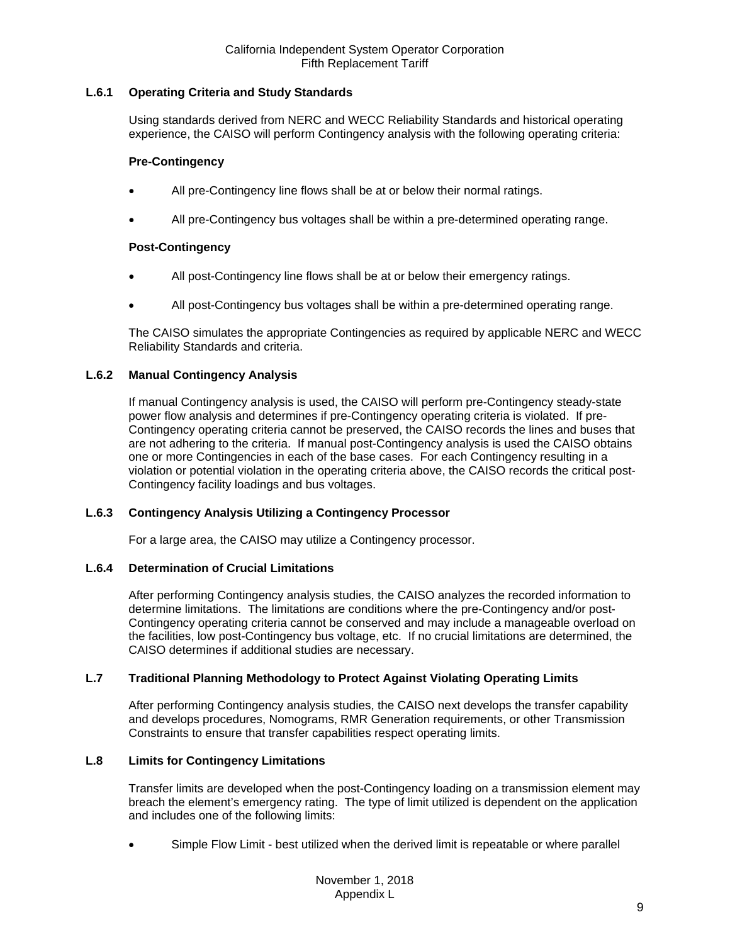## <span id="page-8-0"></span>**L.6.1 Operating Criteria and Study Standards**

Using standards derived from NERC and WECC Reliability Standards and historical operating experience, the CAISO will perform Contingency analysis with the following operating criteria:

## **Pre-Contingency**

- All pre-Contingency line flows shall be at or below their normal ratings.
- All pre-Contingency bus voltages shall be within a pre-determined operating range.

## **Post-Contingency**

- All post-Contingency line flows shall be at or below their emergency ratings.
- All post-Contingency bus voltages shall be within a pre-determined operating range.

The CAISO simulates the appropriate Contingencies as required by applicable NERC and WECC Reliability Standards and criteria.

#### <span id="page-8-1"></span>**L.6.2 Manual Contingency Analysis**

If manual Contingency analysis is used, the CAISO will perform pre-Contingency steady-state power flow analysis and determines if pre-Contingency operating criteria is violated. If pre-Contingency operating criteria cannot be preserved, the CAISO records the lines and buses that are not adhering to the criteria. If manual post-Contingency analysis is used the CAISO obtains one or more Contingencies in each of the base cases. For each Contingency resulting in a violation or potential violation in the operating criteria above, the CAISO records the critical post-Contingency facility loadings and bus voltages.

## <span id="page-8-2"></span>**L.6.3 Contingency Analysis Utilizing a Contingency Processor**

For a large area, the CAISO may utilize a Contingency processor.

## <span id="page-8-3"></span>**L.6.4 Determination of Crucial Limitations**

After performing Contingency analysis studies, the CAISO analyzes the recorded information to determine limitations. The limitations are conditions where the pre-Contingency and/or post-Contingency operating criteria cannot be conserved and may include a manageable overload on the facilities, low post-Contingency bus voltage, etc. If no crucial limitations are determined, the CAISO determines if additional studies are necessary.

## <span id="page-8-4"></span>**L.7 Traditional Planning Methodology to Protect Against Violating Operating Limits**

After performing Contingency analysis studies, the CAISO next develops the transfer capability and develops procedures, Nomograms, RMR Generation requirements, or other Transmission Constraints to ensure that transfer capabilities respect operating limits.

## <span id="page-8-5"></span>**L.8 Limits for Contingency Limitations**

Transfer limits are developed when the post-Contingency loading on a transmission element may breach the element's emergency rating. The type of limit utilized is dependent on the application and includes one of the following limits:

• Simple Flow Limit - best utilized when the derived limit is repeatable or where parallel